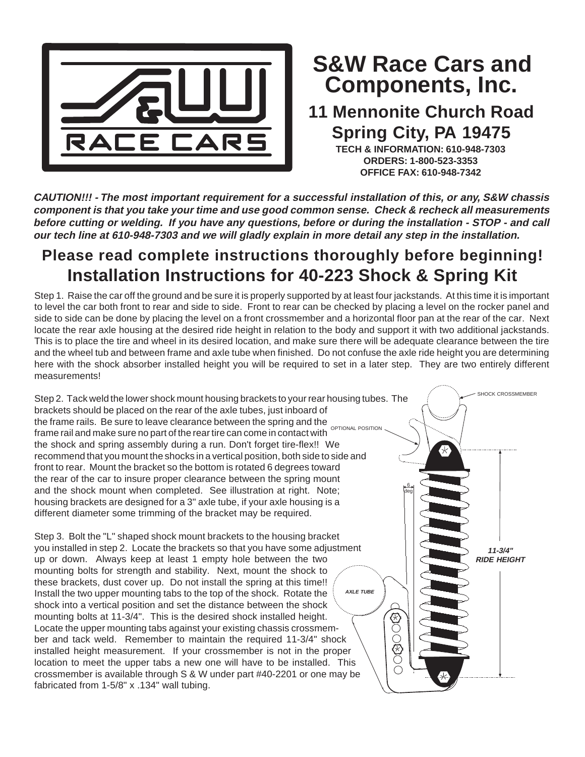

## **Components, Inc. S&W Race Cars and**

## **11 Mennonite Church Road Spring City, PA 19475**

**TECH & INFORMATION: 610-948-7303 ORDERS: 1-800-523-3353 OFFICE FAX: 610-948-7342**

**CAUTION!!! - The most important requirement for a successful installation of this, or any, S&W chassis component is that you take your time and use good common sense. Check & recheck all measurements before cutting or welding. If you have any questions, before or during the installation - STOP - and call our tech line at 610-948-7303 and we will gladly explain in more detail any step in the installation.**

## **Please read complete instructions thoroughly before beginning! Installation Instructions for 40-223 Shock & Spring Kit**

Step 1. Raise the car off the ground and be sure it is properly supported by at least four jackstands. At this time it is important to level the car both front to rear and side to side. Front to rear can be checked by placing a level on the rocker panel and side to side can be done by placing the level on a front crossmember and a horizontal floor pan at the rear of the car. Next locate the rear axle housing at the desired ride height in relation to the body and support it with two additional jackstands. This is to place the tire and wheel in its desired location, and make sure there will be adequate clearance between the tire and the wheel tub and between frame and axle tube when finished. Do not confuse the axle ride height you are determining here with the shock absorber installed height you will be required to set in a later step. They are two entirely different measurements!